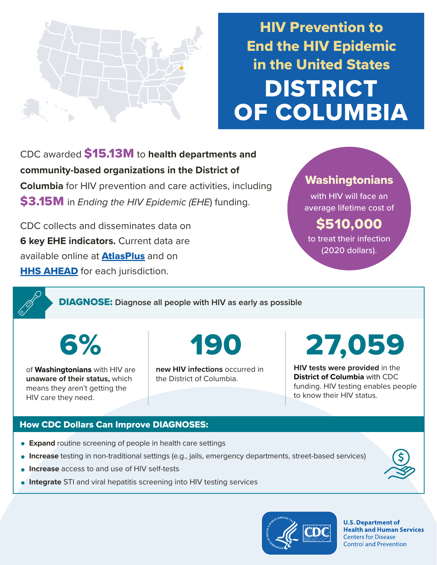

HIV Prevention to End the HIV Epidemic in the United States DISTRICT OF COLUMBIA

CDC awarded \$15.13M to **health departments and community-based organizations in the District of Columbia** for HIV prevention and care activities, including \$3.15M in *Ending the HIV Epidemic (EHE*) funding.

CDC collects and disseminates data on **6 key EHE indicators.** Current data are available online at **[AtlasPlus](https://www.cdc.gov/nchhstp/atlas/index.htm)** and on **[HHS AHEAD](https://ahead.hiv.gov/)** for each jurisdiction.

# **Washingtonians**

with HIV will face an average lifetime cost of

\$510,000 to treat their infection (2020 dollars).

DIAGNOSE: **Diagnose all people with HIV as early as possible** 

of **Washingtonians** with HIV are **unaware of their status,** which means they aren't getting the HIV care they need.

6% 190

**new HIV infections** occurred in the District of Columbia.

# 27,059

**HIV tests were provided** in the **District of Columbia** with CDC funding. HIV testing enables people to know their HIV status.

## How CDC Dollars Can Improve DIAGNOSES:

- **Expand** routine screening of people in health care settings
- **Increase** testing in non-traditional settings (e.g., jails, emergency departments, street-based services)
- **Increase** access to and use of HIV self-tests
- **Integrate** STI and viral hepatitis screening into HIV testing services



**U.S. Department of Health and Human Services Centers for Disease Control and Prevention**